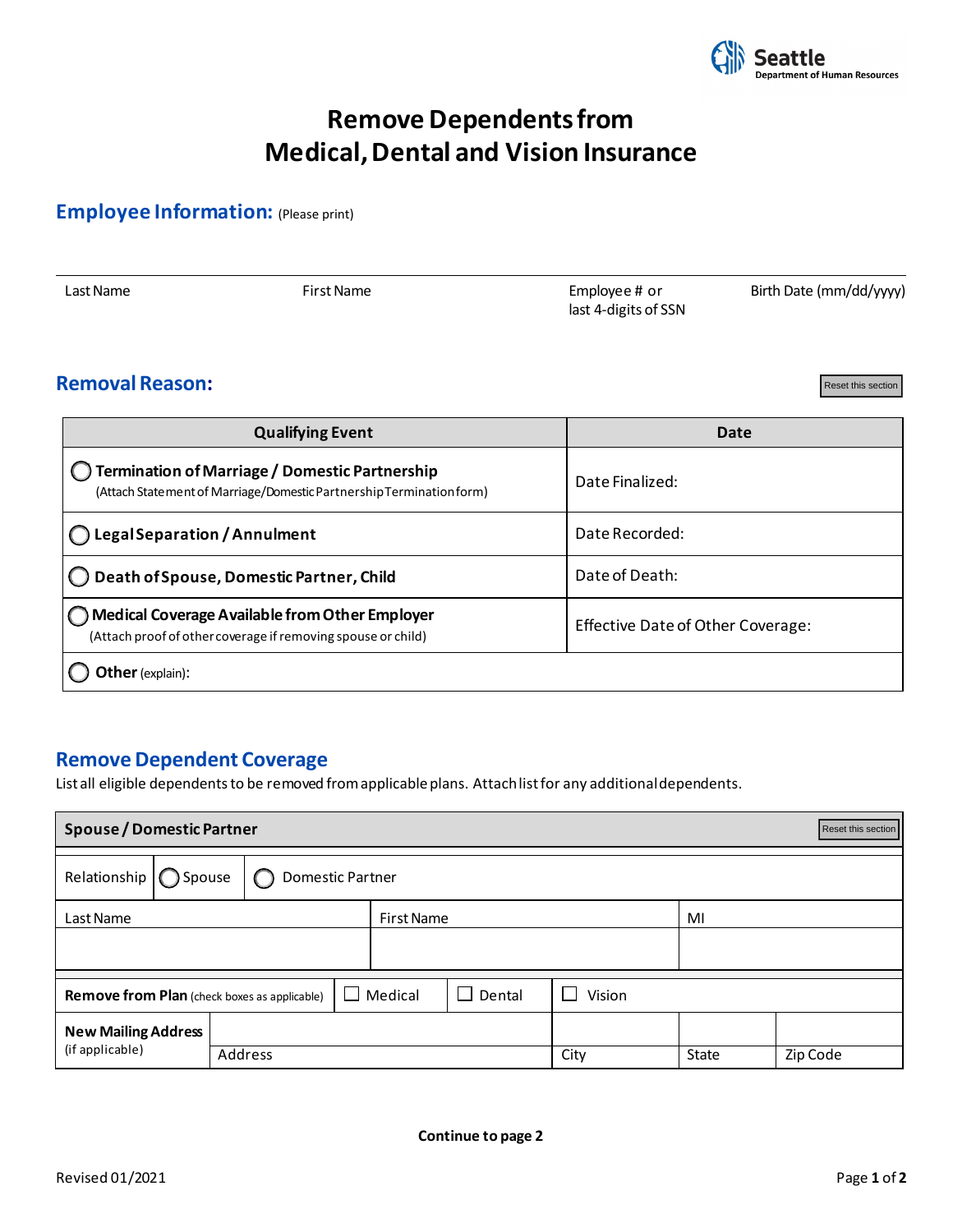

# **Remove Dependents from Medical, Dental and Vision Insurance**

### **Employee Information:** (Please print)

|  | Last Name | First Name | Employee# or<br>last 4-digits of SSN | Birth Date (mm/dd/yyyy) |
|--|-----------|------------|--------------------------------------|-------------------------|
|--|-----------|------------|--------------------------------------|-------------------------|

#### **Removal Reason:**

Reset this section

| <b>Date</b>                                                                                                 |
|-------------------------------------------------------------------------------------------------------------|
| Date Finalized:                                                                                             |
| Date Recorded:                                                                                              |
| Date of Death:                                                                                              |
| Effective Date of Other Coverage:                                                                           |
|                                                                                                             |
|                                                                                                             |
|                                                                                                             |
| List all eligible dependents to be removed from applicable plans. Attachlist for any additional dependents. |
|                                                                                                             |

#### **Remove Dependent Coverage**

| <b>Spouse / Domestic Partner</b><br>Reset this section |                                                                 |  |         |         |        |                  |      |       |          |  |  |  |
|--------------------------------------------------------|-----------------------------------------------------------------|--|---------|---------|--------|------------------|------|-------|----------|--|--|--|
|                                                        | Relationship $\bigcirc$ Spouse<br>Domestic Partner<br>$\bigcap$ |  |         |         |        |                  |      |       |          |  |  |  |
| Last Name<br><b>First Name</b>                         |                                                                 |  |         |         |        |                  | MI   |       |          |  |  |  |
|                                                        |                                                                 |  |         |         |        |                  |      |       |          |  |  |  |
| <b>Remove from Plan</b> (check boxes as applicable)    |                                                                 |  |         | Medical | Dental | Vision<br>$\sim$ |      |       |          |  |  |  |
| <b>New Mailing Address</b>                             |                                                                 |  |         |         |        |                  |      |       |          |  |  |  |
| (if applicable)                                        |                                                                 |  | Address |         |        |                  | City | State | Zip Code |  |  |  |